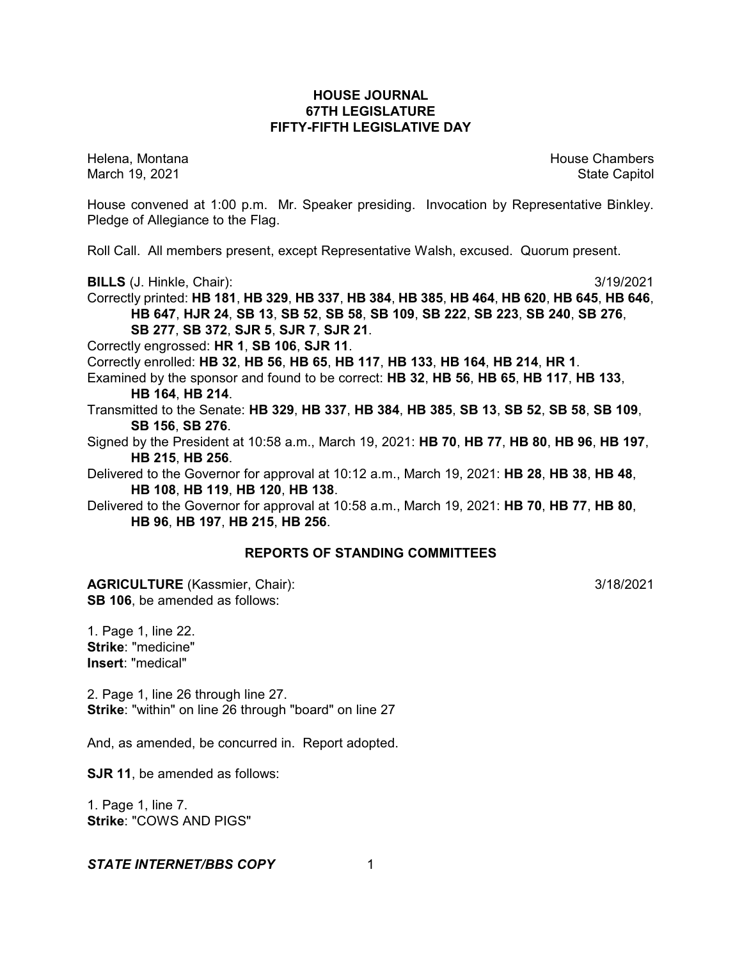# **HOUSE JOURNAL 67TH LEGISLATURE FIFTY-FIFTH LEGISLATIVE DAY**

Helena, Montana House Chambers Chambers Chambers and House Chambers Chambers Chambers Chambers Chambers Chambers Chambers Chambers Chambers Chambers Chambers Chambers Chambers Chambers Chambers Chambers Chambers Chambers C March 19, 2021 **State Capitol** 

House convened at 1:00 p.m. Mr. Speaker presiding. Invocation by Representative Binkley. Pledge of Allegiance to the Flag.

Roll Call. All members present, except Representative Walsh, excused. Quorum present.

**BILLS** (J. Hinkle, Chair): 3/19/2021

Correctly printed: **HB 181**, **HB 329**, **HB 337**, **HB 384**, **HB 385**, **HB 464**, **HB 620**, **HB 645**, **HB 646**, **HB 647**, **HJR 24**, **SB 13**, **SB 52**, **SB 58**, **SB 109**, **SB 222**, **SB 223**, **SB 240**, **SB 276**, **SB 277**, **SB 372**, **SJR 5**, **SJR 7**, **SJR 21**.

Correctly engrossed: **HR 1**, **SB 106**, **SJR 11**.

Correctly enrolled: **HB 32**, **HB 56**, **HB 65**, **HB 117**, **HB 133**, **HB 164**, **HB 214**, **HR 1**.

Examined by the sponsor and found to be correct: **HB 32**, **HB 56**, **HB 65**, **HB 117**, **HB 133**, **HB 164**, **HB 214**.

Transmitted to the Senate: **HB 329**, **HB 337**, **HB 384**, **HB 385**, **SB 13**, **SB 52**, **SB 58**, **SB 109**, **SB 156**, **SB 276**.

Signed by the President at 10:58 a.m., March 19, 2021: **HB 70**, **HB 77**, **HB 80**, **HB 96**, **HB 197**, **HB 215**, **HB 256**.

Delivered to the Governor for approval at 10:12 a.m., March 19, 2021: **HB 28**, **HB 38**, **HB 48**, **HB 108**, **HB 119**, **HB 120**, **HB 138**.

Delivered to the Governor for approval at 10:58 a.m., March 19, 2021: **HB 70**, **HB 77**, **HB 80**, **HB 96**, **HB 197**, **HB 215**, **HB 256**.

# **REPORTS OF STANDING COMMITTEES**

**AGRICULTURE** (Kassmier, Chair): 3/18/2021 **SB 106**, be amended as follows:

1. Page 1, line 22. **Strike**: "medicine" **Insert**: "medical"

2. Page 1, line 26 through line 27. **Strike**: "within" on line 26 through "board" on line 27

And, as amended, be concurred in. Report adopted.

**SJR 11**, be amended as follows:

1. Page 1, line 7. **Strike**: "COWS AND PIGS"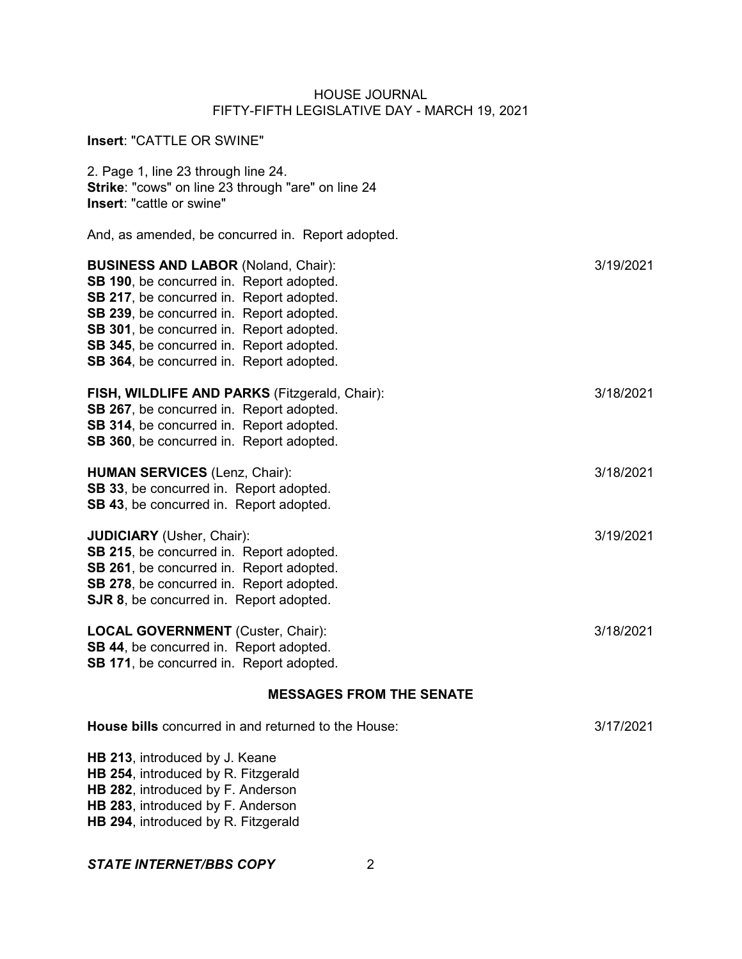| Insert: "CATTLE OR SWINE"                                                                                                                                                                                                                                                                                          |           |
|--------------------------------------------------------------------------------------------------------------------------------------------------------------------------------------------------------------------------------------------------------------------------------------------------------------------|-----------|
| 2. Page 1, line 23 through line 24.<br>Strike: "cows" on line 23 through "are" on line 24<br>Insert: "cattle or swine"                                                                                                                                                                                             |           |
| And, as amended, be concurred in. Report adopted.                                                                                                                                                                                                                                                                  |           |
| <b>BUSINESS AND LABOR (Noland, Chair):</b><br>SB 190, be concurred in. Report adopted.<br>SB 217, be concurred in. Report adopted.<br>SB 239, be concurred in. Report adopted.<br>SB 301, be concurred in. Report adopted.<br>SB 345, be concurred in. Report adopted.<br>SB 364, be concurred in. Report adopted. | 3/19/2021 |
| FISH, WILDLIFE AND PARKS (Fitzgerald, Chair):<br>SB 267, be concurred in. Report adopted.<br>SB 314, be concurred in. Report adopted.<br>SB 360, be concurred in. Report adopted.                                                                                                                                  | 3/18/2021 |
| <b>HUMAN SERVICES (Lenz, Chair):</b><br>SB 33, be concurred in. Report adopted.<br>SB 43, be concurred in. Report adopted.                                                                                                                                                                                         | 3/18/2021 |
| <b>JUDICIARY</b> (Usher, Chair):<br>SB 215, be concurred in. Report adopted.<br>SB 261, be concurred in. Report adopted.<br>SB 278, be concurred in. Report adopted.<br>SJR 8, be concurred in. Report adopted.                                                                                                    | 3/19/2021 |
| <b>LOCAL GOVERNMENT</b> (Custer, Chair):<br>SB 44, be concurred in. Report adopted.<br>SB 171, be concurred in. Report adopted.                                                                                                                                                                                    | 3/18/2021 |
| <b>MESSAGES FROM THE SENATE</b>                                                                                                                                                                                                                                                                                    |           |
| <b>House bills</b> concurred in and returned to the House:                                                                                                                                                                                                                                                         | 3/17/2021 |
| HB 213, introduced by J. Keane<br>HB 254, introduced by R. Fitzgerald                                                                                                                                                                                                                                              |           |

**HB 282**, introduced by F. Anderson **HB 283**, introduced by F. Anderson

**HB 294**, introduced by R. Fitzgerald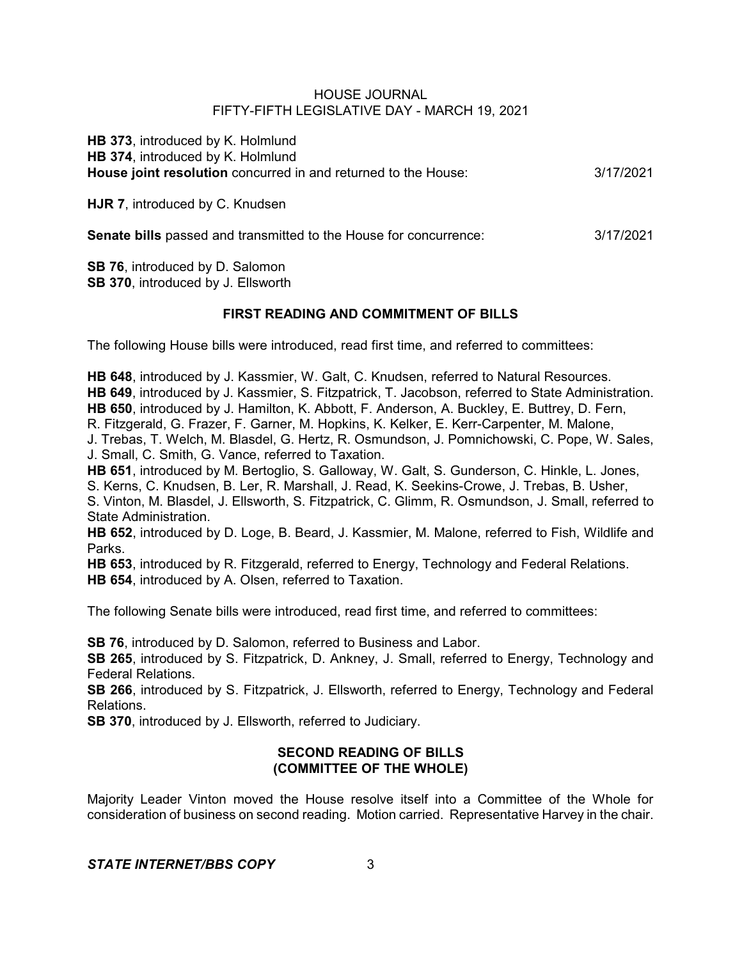**HB 373**, introduced by K. Holmlund **HB 374**, introduced by K. Holmlund **House joint resolution** concurred in and returned to the House: 3/17/2021

**HJR 7**, introduced by C. Knudsen

**Senate bills** passed and transmitted to the House for concurrence: 3/17/2021

**SB 76**, introduced by D. Salomon **SB 370**, introduced by J. Ellsworth

# **FIRST READING AND COMMITMENT OF BILLS**

The following House bills were introduced, read first time, and referred to committees:

**HB 648**, introduced by J. Kassmier, W. Galt, C. Knudsen, referred to Natural Resources. **HB 649**, introduced by J. Kassmier, S. Fitzpatrick, T. Jacobson, referred to State Administration. **HB 650**, introduced by J. Hamilton, K. Abbott, F. Anderson, A. Buckley, E. Buttrey, D. Fern, R. Fitzgerald, G. Frazer, F. Garner, M. Hopkins, K. Kelker, E. Kerr-Carpenter, M. Malone, J. Trebas, T. Welch, M. Blasdel, G. Hertz, R. Osmundson, J. Pomnichowski, C. Pope, W. Sales, J. Small, C. Smith, G. Vance, referred to Taxation. **HB 651**, introduced by M. Bertoglio, S. Galloway, W. Galt, S. Gunderson, C. Hinkle, L. Jones, S. Kerns, C. Knudsen, B. Ler, R. Marshall, J. Read, K. Seekins-Crowe, J. Trebas, B. Usher,

S. Vinton, M. Blasdel, J. Ellsworth, S. Fitzpatrick, C. Glimm, R. Osmundson, J. Small, referred to State Administration.

**HB 652**, introduced by D. Loge, B. Beard, J. Kassmier, M. Malone, referred to Fish, Wildlife and Parks.

**HB 653**, introduced by R. Fitzgerald, referred to Energy, Technology and Federal Relations.

**HB 654**, introduced by A. Olsen, referred to Taxation.

The following Senate bills were introduced, read first time, and referred to committees:

**SB 76**, introduced by D. Salomon, referred to Business and Labor.

**SB 265**, introduced by S. Fitzpatrick, D. Ankney, J. Small, referred to Energy, Technology and Federal Relations.

**SB 266**, introduced by S. Fitzpatrick, J. Ellsworth, referred to Energy, Technology and Federal Relations.

**SB 370**, introduced by J. Ellsworth, referred to Judiciary.

# **SECOND READING OF BILLS (COMMITTEE OF THE WHOLE)**

Majority Leader Vinton moved the House resolve itself into a Committee of the Whole for consideration of business on second reading. Motion carried. Representative Harvey in the chair.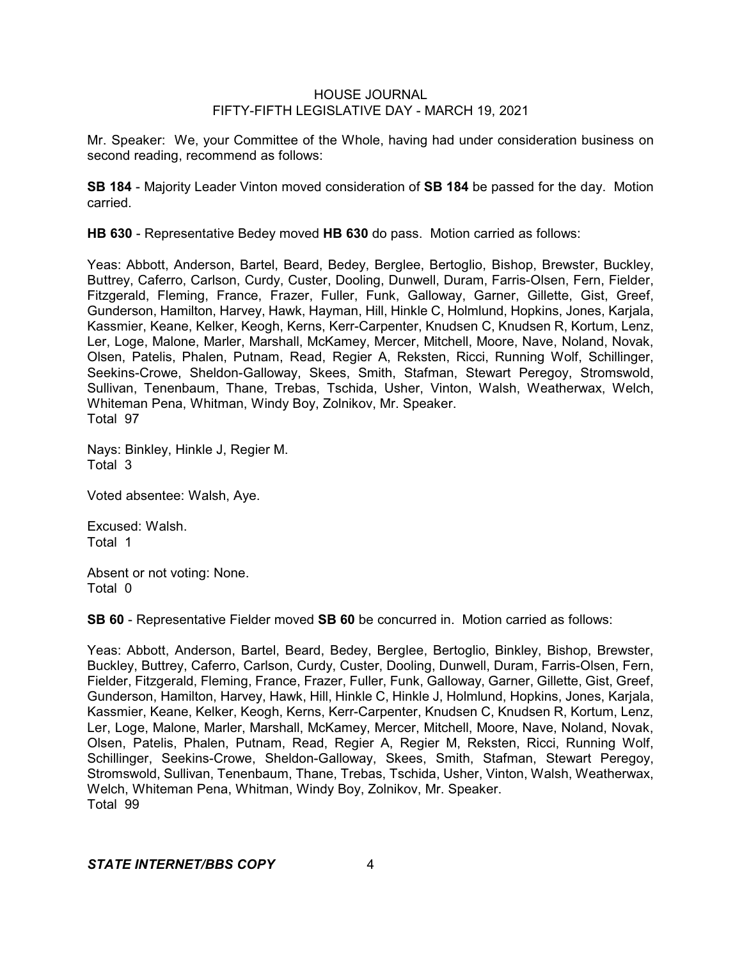Mr. Speaker: We, your Committee of the Whole, having had under consideration business on second reading, recommend as follows:

**SB 184** - Majority Leader Vinton moved consideration of **SB 184** be passed for the day. Motion carried.

**HB 630** - Representative Bedey moved **HB 630** do pass. Motion carried as follows:

Yeas: Abbott, Anderson, Bartel, Beard, Bedey, Berglee, Bertoglio, Bishop, Brewster, Buckley, Buttrey, Caferro, Carlson, Curdy, Custer, Dooling, Dunwell, Duram, Farris-Olsen, Fern, Fielder, Fitzgerald, Fleming, France, Frazer, Fuller, Funk, Galloway, Garner, Gillette, Gist, Greef, Gunderson, Hamilton, Harvey, Hawk, Hayman, Hill, Hinkle C, Holmlund, Hopkins, Jones, Karjala, Kassmier, Keane, Kelker, Keogh, Kerns, Kerr-Carpenter, Knudsen C, Knudsen R, Kortum, Lenz, Ler, Loge, Malone, Marler, Marshall, McKamey, Mercer, Mitchell, Moore, Nave, Noland, Novak, Olsen, Patelis, Phalen, Putnam, Read, Regier A, Reksten, Ricci, Running Wolf, Schillinger, Seekins-Crowe, Sheldon-Galloway, Skees, Smith, Stafman, Stewart Peregoy, Stromswold, Sullivan, Tenenbaum, Thane, Trebas, Tschida, Usher, Vinton, Walsh, Weatherwax, Welch, Whiteman Pena, Whitman, Windy Boy, Zolnikov, Mr. Speaker. Total 97

Nays: Binkley, Hinkle J, Regier M. Total 3

Voted absentee: Walsh, Aye.

Excused: Walsh. Total 1

Absent or not voting: None. Total 0

**SB 60** - Representative Fielder moved **SB 60** be concurred in. Motion carried as follows:

Yeas: Abbott, Anderson, Bartel, Beard, Bedey, Berglee, Bertoglio, Binkley, Bishop, Brewster, Buckley, Buttrey, Caferro, Carlson, Curdy, Custer, Dooling, Dunwell, Duram, Farris-Olsen, Fern, Fielder, Fitzgerald, Fleming, France, Frazer, Fuller, Funk, Galloway, Garner, Gillette, Gist, Greef, Gunderson, Hamilton, Harvey, Hawk, Hill, Hinkle C, Hinkle J, Holmlund, Hopkins, Jones, Karjala, Kassmier, Keane, Kelker, Keogh, Kerns, Kerr-Carpenter, Knudsen C, Knudsen R, Kortum, Lenz, Ler, Loge, Malone, Marler, Marshall, McKamey, Mercer, Mitchell, Moore, Nave, Noland, Novak, Olsen, Patelis, Phalen, Putnam, Read, Regier A, Regier M, Reksten, Ricci, Running Wolf, Schillinger, Seekins-Crowe, Sheldon-Galloway, Skees, Smith, Stafman, Stewart Peregoy, Stromswold, Sullivan, Tenenbaum, Thane, Trebas, Tschida, Usher, Vinton, Walsh, Weatherwax, Welch, Whiteman Pena, Whitman, Windy Boy, Zolnikov, Mr. Speaker. Total 99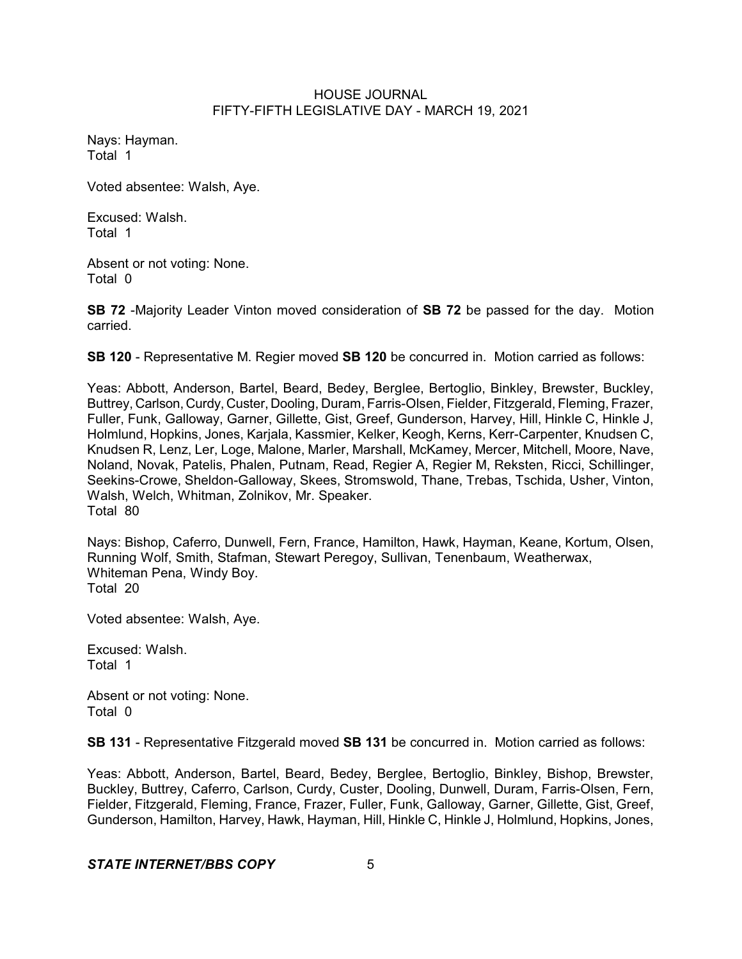Nays: Hayman. Total 1

Voted absentee: Walsh, Aye.

Excused: Walsh. Total 1

Absent or not voting: None. Total 0

**SB 72** -Majority Leader Vinton moved consideration of **SB 72** be passed for the day. Motion carried.

**SB 120** - Representative M. Regier moved **SB 120** be concurred in. Motion carried as follows:

Yeas: Abbott, Anderson, Bartel, Beard, Bedey, Berglee, Bertoglio, Binkley, Brewster, Buckley, Buttrey, Carlson, Curdy, Custer, Dooling, Duram, Farris-Olsen, Fielder, Fitzgerald, Fleming, Frazer, Fuller, Funk, Galloway, Garner, Gillette, Gist, Greef, Gunderson, Harvey, Hill, Hinkle C, Hinkle J, Holmlund, Hopkins, Jones, Karjala, Kassmier, Kelker, Keogh, Kerns, Kerr-Carpenter, Knudsen C, Knudsen R, Lenz, Ler, Loge, Malone, Marler, Marshall, McKamey, Mercer, Mitchell, Moore, Nave, Noland, Novak, Patelis, Phalen, Putnam, Read, Regier A, Regier M, Reksten, Ricci, Schillinger, Seekins-Crowe, Sheldon-Galloway, Skees, Stromswold, Thane, Trebas, Tschida, Usher, Vinton, Walsh, Welch, Whitman, Zolnikov, Mr. Speaker. Total 80

Nays: Bishop, Caferro, Dunwell, Fern, France, Hamilton, Hawk, Hayman, Keane, Kortum, Olsen, Running Wolf, Smith, Stafman, Stewart Peregoy, Sullivan, Tenenbaum, Weatherwax, Whiteman Pena, Windy Boy. Total 20

Voted absentee: Walsh, Aye.

Excused: Walsh. Total 1

Absent or not voting: None. Total 0

**SB 131** - Representative Fitzgerald moved **SB 131** be concurred in. Motion carried as follows:

Yeas: Abbott, Anderson, Bartel, Beard, Bedey, Berglee, Bertoglio, Binkley, Bishop, Brewster, Buckley, Buttrey, Caferro, Carlson, Curdy, Custer, Dooling, Dunwell, Duram, Farris-Olsen, Fern, Fielder, Fitzgerald, Fleming, France, Frazer, Fuller, Funk, Galloway, Garner, Gillette, Gist, Greef, Gunderson, Hamilton, Harvey, Hawk, Hayman, Hill, Hinkle C, Hinkle J, Holmlund, Hopkins, Jones,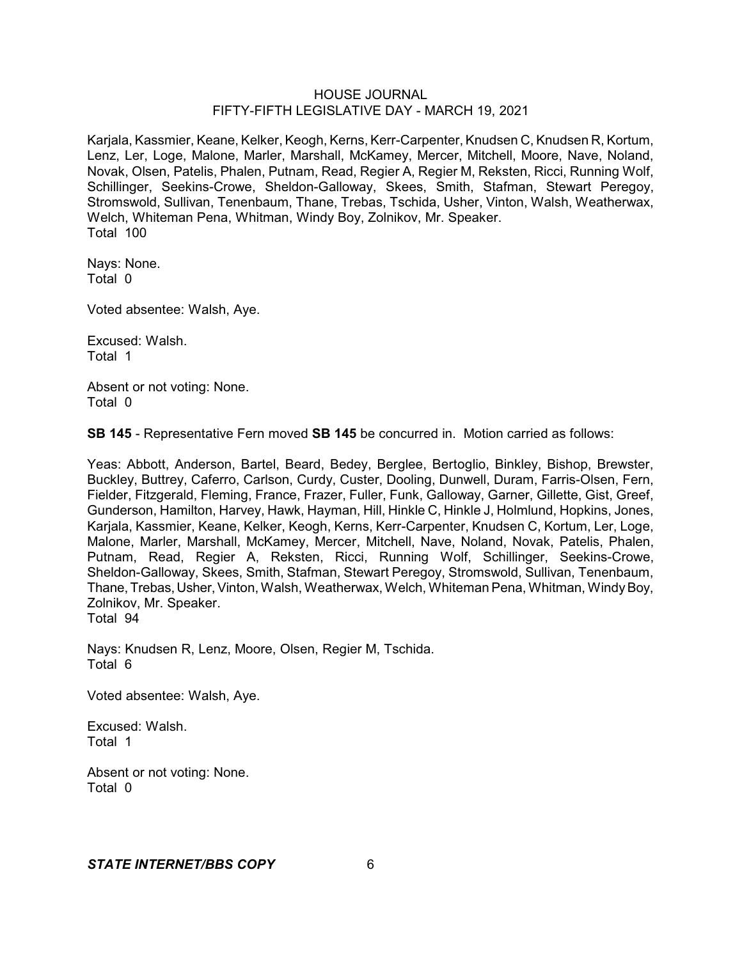Karjala, Kassmier, Keane, Kelker, Keogh, Kerns, Kerr-Carpenter, Knudsen C, Knudsen R, Kortum, Lenz, Ler, Loge, Malone, Marler, Marshall, McKamey, Mercer, Mitchell, Moore, Nave, Noland, Novak, Olsen, Patelis, Phalen, Putnam, Read, Regier A, Regier M, Reksten, Ricci, Running Wolf, Schillinger, Seekins-Crowe, Sheldon-Galloway, Skees, Smith, Stafman, Stewart Peregoy, Stromswold, Sullivan, Tenenbaum, Thane, Trebas, Tschida, Usher, Vinton, Walsh, Weatherwax, Welch, Whiteman Pena, Whitman, Windy Boy, Zolnikov, Mr. Speaker. Total 100

Nays: None. Total 0

Voted absentee: Walsh, Aye.

Excused: Walsh. Total 1

Absent or not voting: None. Total 0

**SB 145** - Representative Fern moved **SB 145** be concurred in. Motion carried as follows:

Yeas: Abbott, Anderson, Bartel, Beard, Bedey, Berglee, Bertoglio, Binkley, Bishop, Brewster, Buckley, Buttrey, Caferro, Carlson, Curdy, Custer, Dooling, Dunwell, Duram, Farris-Olsen, Fern, Fielder, Fitzgerald, Fleming, France, Frazer, Fuller, Funk, Galloway, Garner, Gillette, Gist, Greef, Gunderson, Hamilton, Harvey, Hawk, Hayman, Hill, Hinkle C, Hinkle J, Holmlund, Hopkins, Jones, Karjala, Kassmier, Keane, Kelker, Keogh, Kerns, Kerr-Carpenter, Knudsen C, Kortum, Ler, Loge, Malone, Marler, Marshall, McKamey, Mercer, Mitchell, Nave, Noland, Novak, Patelis, Phalen, Putnam, Read, Regier A, Reksten, Ricci, Running Wolf, Schillinger, Seekins-Crowe, Sheldon-Galloway, Skees, Smith, Stafman, Stewart Peregoy, Stromswold, Sullivan, Tenenbaum, Thane, Trebas, Usher,Vinton, Walsh, Weatherwax, Welch, Whiteman Pena, Whitman, WindyBoy, Zolnikov, Mr. Speaker. Total 94

Nays: Knudsen R, Lenz, Moore, Olsen, Regier M, Tschida. Total 6

Voted absentee: Walsh, Aye.

Excused: Walsh. Total 1

Absent or not voting: None. Total 0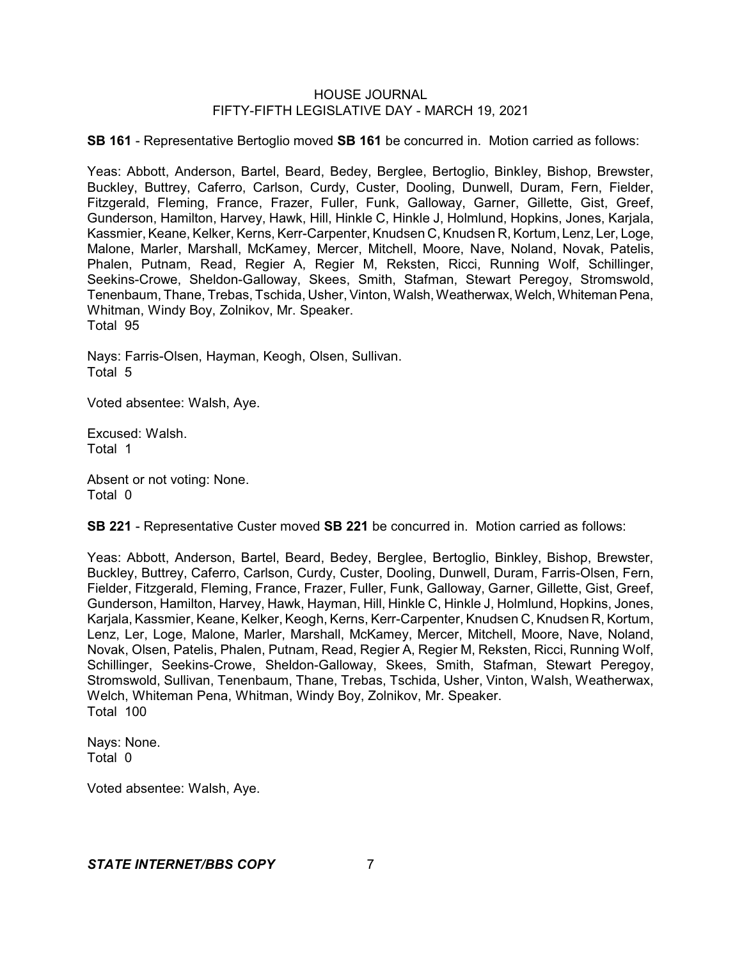**SB 161** - Representative Bertoglio moved **SB 161** be concurred in. Motion carried as follows:

Yeas: Abbott, Anderson, Bartel, Beard, Bedey, Berglee, Bertoglio, Binkley, Bishop, Brewster, Buckley, Buttrey, Caferro, Carlson, Curdy, Custer, Dooling, Dunwell, Duram, Fern, Fielder, Fitzgerald, Fleming, France, Frazer, Fuller, Funk, Galloway, Garner, Gillette, Gist, Greef, Gunderson, Hamilton, Harvey, Hawk, Hill, Hinkle C, Hinkle J, Holmlund, Hopkins, Jones, Karjala, Kassmier, Keane, Kelker, Kerns, Kerr-Carpenter, Knudsen C, Knudsen R, Kortum, Lenz, Ler, Loge, Malone, Marler, Marshall, McKamey, Mercer, Mitchell, Moore, Nave, Noland, Novak, Patelis, Phalen, Putnam, Read, Regier A, Regier M, Reksten, Ricci, Running Wolf, Schillinger, Seekins-Crowe, Sheldon-Galloway, Skees, Smith, Stafman, Stewart Peregoy, Stromswold, Tenenbaum, Thane, Trebas, Tschida, Usher, Vinton, Walsh, Weatherwax, Welch, Whiteman Pena, Whitman, Windy Boy, Zolnikov, Mr. Speaker. Total 95

Nays: Farris-Olsen, Hayman, Keogh, Olsen, Sullivan. Total 5

Voted absentee: Walsh, Aye.

Excused: Walsh. Total 1

Absent or not voting: None. Total 0

**SB 221** - Representative Custer moved **SB 221** be concurred in. Motion carried as follows:

Yeas: Abbott, Anderson, Bartel, Beard, Bedey, Berglee, Bertoglio, Binkley, Bishop, Brewster, Buckley, Buttrey, Caferro, Carlson, Curdy, Custer, Dooling, Dunwell, Duram, Farris-Olsen, Fern, Fielder, Fitzgerald, Fleming, France, Frazer, Fuller, Funk, Galloway, Garner, Gillette, Gist, Greef, Gunderson, Hamilton, Harvey, Hawk, Hayman, Hill, Hinkle C, Hinkle J, Holmlund, Hopkins, Jones, Karjala, Kassmier, Keane, Kelker, Keogh, Kerns, Kerr-Carpenter, Knudsen C, Knudsen R, Kortum, Lenz, Ler, Loge, Malone, Marler, Marshall, McKamey, Mercer, Mitchell, Moore, Nave, Noland, Novak, Olsen, Patelis, Phalen, Putnam, Read, Regier A, Regier M, Reksten, Ricci, Running Wolf, Schillinger, Seekins-Crowe, Sheldon-Galloway, Skees, Smith, Stafman, Stewart Peregoy, Stromswold, Sullivan, Tenenbaum, Thane, Trebas, Tschida, Usher, Vinton, Walsh, Weatherwax, Welch, Whiteman Pena, Whitman, Windy Boy, Zolnikov, Mr. Speaker. Total 100

Nays: None. Total 0

Voted absentee: Walsh, Aye.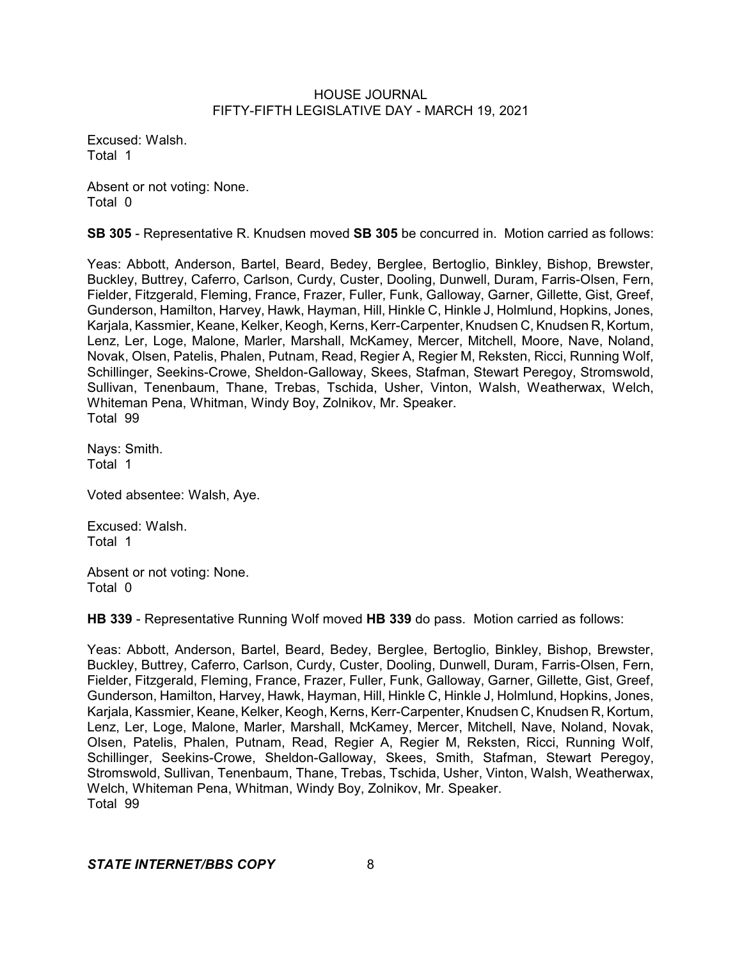Excused: Walsh. Total 1

Absent or not voting: None. Total 0

**SB 305** - Representative R. Knudsen moved **SB 305** be concurred in. Motion carried as follows:

Yeas: Abbott, Anderson, Bartel, Beard, Bedey, Berglee, Bertoglio, Binkley, Bishop, Brewster, Buckley, Buttrey, Caferro, Carlson, Curdy, Custer, Dooling, Dunwell, Duram, Farris-Olsen, Fern, Fielder, Fitzgerald, Fleming, France, Frazer, Fuller, Funk, Galloway, Garner, Gillette, Gist, Greef, Gunderson, Hamilton, Harvey, Hawk, Hayman, Hill, Hinkle C, Hinkle J, Holmlund, Hopkins, Jones, Karjala, Kassmier, Keane, Kelker, Keogh, Kerns, Kerr-Carpenter, Knudsen C, Knudsen R, Kortum, Lenz, Ler, Loge, Malone, Marler, Marshall, McKamey, Mercer, Mitchell, Moore, Nave, Noland, Novak, Olsen, Patelis, Phalen, Putnam, Read, Regier A, Regier M, Reksten, Ricci, Running Wolf, Schillinger, Seekins-Crowe, Sheldon-Galloway, Skees, Stafman, Stewart Peregoy, Stromswold, Sullivan, Tenenbaum, Thane, Trebas, Tschida, Usher, Vinton, Walsh, Weatherwax, Welch, Whiteman Pena, Whitman, Windy Boy, Zolnikov, Mr. Speaker. Total 99

Nays: Smith. Total 1

Voted absentee: Walsh, Aye.

Excused: Walsh. Total 1

Absent or not voting: None. Total 0

**HB 339** - Representative Running Wolf moved **HB 339** do pass. Motion carried as follows:

Yeas: Abbott, Anderson, Bartel, Beard, Bedey, Berglee, Bertoglio, Binkley, Bishop, Brewster, Buckley, Buttrey, Caferro, Carlson, Curdy, Custer, Dooling, Dunwell, Duram, Farris-Olsen, Fern, Fielder, Fitzgerald, Fleming, France, Frazer, Fuller, Funk, Galloway, Garner, Gillette, Gist, Greef, Gunderson, Hamilton, Harvey, Hawk, Hayman, Hill, Hinkle C, Hinkle J, Holmlund, Hopkins, Jones, Karjala, Kassmier, Keane, Kelker, Keogh, Kerns, Kerr-Carpenter, Knudsen C, Knudsen R, Kortum, Lenz, Ler, Loge, Malone, Marler, Marshall, McKamey, Mercer, Mitchell, Nave, Noland, Novak, Olsen, Patelis, Phalen, Putnam, Read, Regier A, Regier M, Reksten, Ricci, Running Wolf, Schillinger, Seekins-Crowe, Sheldon-Galloway, Skees, Smith, Stafman, Stewart Peregoy, Stromswold, Sullivan, Tenenbaum, Thane, Trebas, Tschida, Usher, Vinton, Walsh, Weatherwax, Welch, Whiteman Pena, Whitman, Windy Boy, Zolnikov, Mr. Speaker. Total 99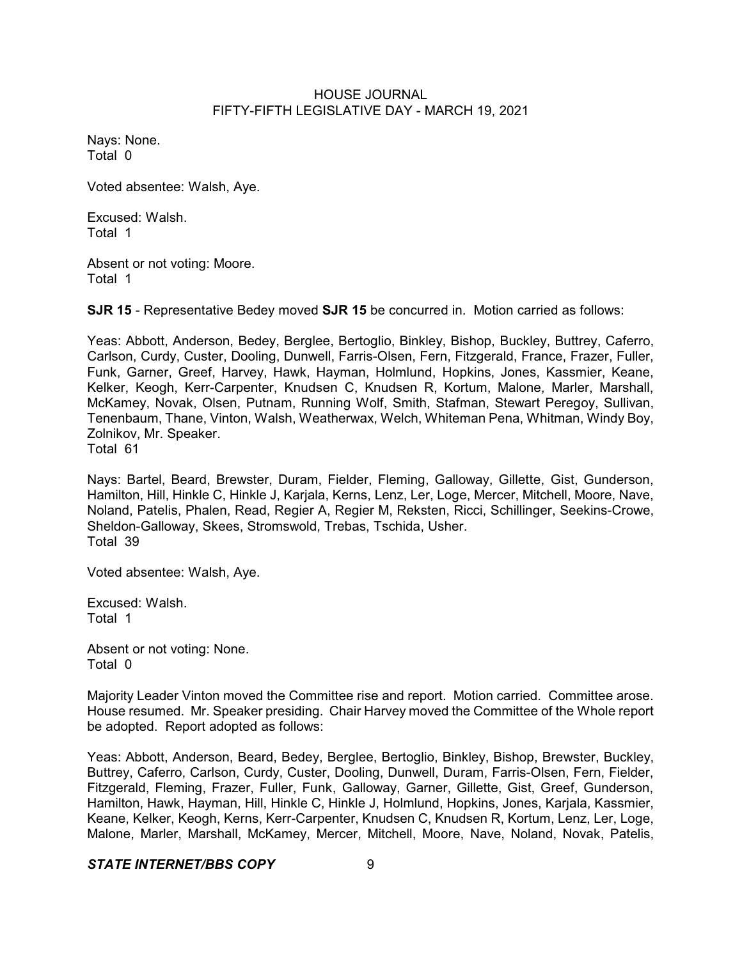Nays: None. Total 0

Voted absentee: Walsh, Aye.

Excused: Walsh. Total 1

Absent or not voting: Moore. Total 1

**SJR 15** - Representative Bedey moved **SJR 15** be concurred in. Motion carried as follows:

Yeas: Abbott, Anderson, Bedey, Berglee, Bertoglio, Binkley, Bishop, Buckley, Buttrey, Caferro, Carlson, Curdy, Custer, Dooling, Dunwell, Farris-Olsen, Fern, Fitzgerald, France, Frazer, Fuller, Funk, Garner, Greef, Harvey, Hawk, Hayman, Holmlund, Hopkins, Jones, Kassmier, Keane, Kelker, Keogh, Kerr-Carpenter, Knudsen C, Knudsen R, Kortum, Malone, Marler, Marshall, McKamey, Novak, Olsen, Putnam, Running Wolf, Smith, Stafman, Stewart Peregoy, Sullivan, Tenenbaum, Thane, Vinton, Walsh, Weatherwax, Welch, Whiteman Pena, Whitman, Windy Boy, Zolnikov, Mr. Speaker.

Total 61

Nays: Bartel, Beard, Brewster, Duram, Fielder, Fleming, Galloway, Gillette, Gist, Gunderson, Hamilton, Hill, Hinkle C, Hinkle J, Karjala, Kerns, Lenz, Ler, Loge, Mercer, Mitchell, Moore, Nave, Noland, Patelis, Phalen, Read, Regier A, Regier M, Reksten, Ricci, Schillinger, Seekins-Crowe, Sheldon-Galloway, Skees, Stromswold, Trebas, Tschida, Usher. Total 39

Voted absentee: Walsh, Aye.

Excused: Walsh. Total 1

Absent or not voting: None. Total 0

Majority Leader Vinton moved the Committee rise and report. Motion carried. Committee arose. House resumed. Mr. Speaker presiding. Chair Harvey moved the Committee of the Whole report be adopted. Report adopted as follows:

Yeas: Abbott, Anderson, Beard, Bedey, Berglee, Bertoglio, Binkley, Bishop, Brewster, Buckley, Buttrey, Caferro, Carlson, Curdy, Custer, Dooling, Dunwell, Duram, Farris-Olsen, Fern, Fielder, Fitzgerald, Fleming, Frazer, Fuller, Funk, Galloway, Garner, Gillette, Gist, Greef, Gunderson, Hamilton, Hawk, Hayman, Hill, Hinkle C, Hinkle J, Holmlund, Hopkins, Jones, Karjala, Kassmier, Keane, Kelker, Keogh, Kerns, Kerr-Carpenter, Knudsen C, Knudsen R, Kortum, Lenz, Ler, Loge, Malone, Marler, Marshall, McKamey, Mercer, Mitchell, Moore, Nave, Noland, Novak, Patelis,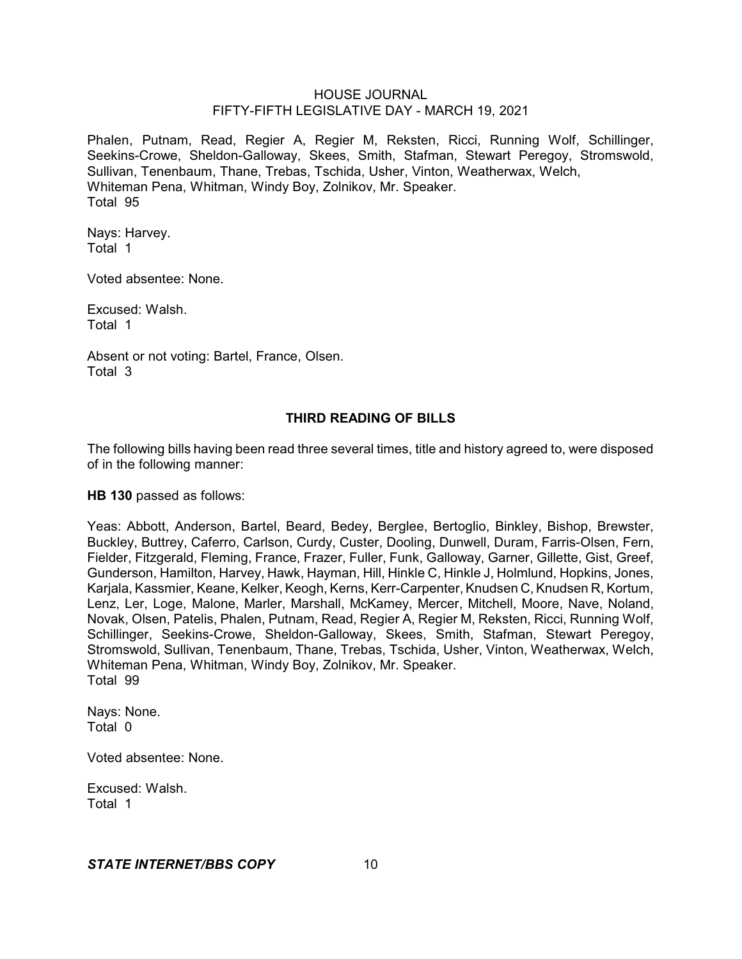Phalen, Putnam, Read, Regier A, Regier M, Reksten, Ricci, Running Wolf, Schillinger, Seekins-Crowe, Sheldon-Galloway, Skees, Smith, Stafman, Stewart Peregoy, Stromswold, Sullivan, Tenenbaum, Thane, Trebas, Tschida, Usher, Vinton, Weatherwax, Welch, Whiteman Pena, Whitman, Windy Boy, Zolnikov, Mr. Speaker. Total 95

Nays: Harvey. Total 1

Voted absentee: None.

Excused: Walsh. Total 1

Absent or not voting: Bartel, France, Olsen. Total 3

# **THIRD READING OF BILLS**

The following bills having been read three several times, title and history agreed to, were disposed of in the following manner:

**HB 130** passed as follows:

Yeas: Abbott, Anderson, Bartel, Beard, Bedey, Berglee, Bertoglio, Binkley, Bishop, Brewster, Buckley, Buttrey, Caferro, Carlson, Curdy, Custer, Dooling, Dunwell, Duram, Farris-Olsen, Fern, Fielder, Fitzgerald, Fleming, France, Frazer, Fuller, Funk, Galloway, Garner, Gillette, Gist, Greef, Gunderson, Hamilton, Harvey, Hawk, Hayman, Hill, Hinkle C, Hinkle J, Holmlund, Hopkins, Jones, Karjala, Kassmier, Keane, Kelker, Keogh, Kerns, Kerr-Carpenter, Knudsen C, Knudsen R, Kortum, Lenz, Ler, Loge, Malone, Marler, Marshall, McKamey, Mercer, Mitchell, Moore, Nave, Noland, Novak, Olsen, Patelis, Phalen, Putnam, Read, Regier A, Regier M, Reksten, Ricci, Running Wolf, Schillinger, Seekins-Crowe, Sheldon-Galloway, Skees, Smith, Stafman, Stewart Peregoy, Stromswold, Sullivan, Tenenbaum, Thane, Trebas, Tschida, Usher, Vinton, Weatherwax, Welch, Whiteman Pena, Whitman, Windy Boy, Zolnikov, Mr. Speaker. Total 99

Nays: None. Total 0

Voted absentee: None.

Excused: Walsh. Total 1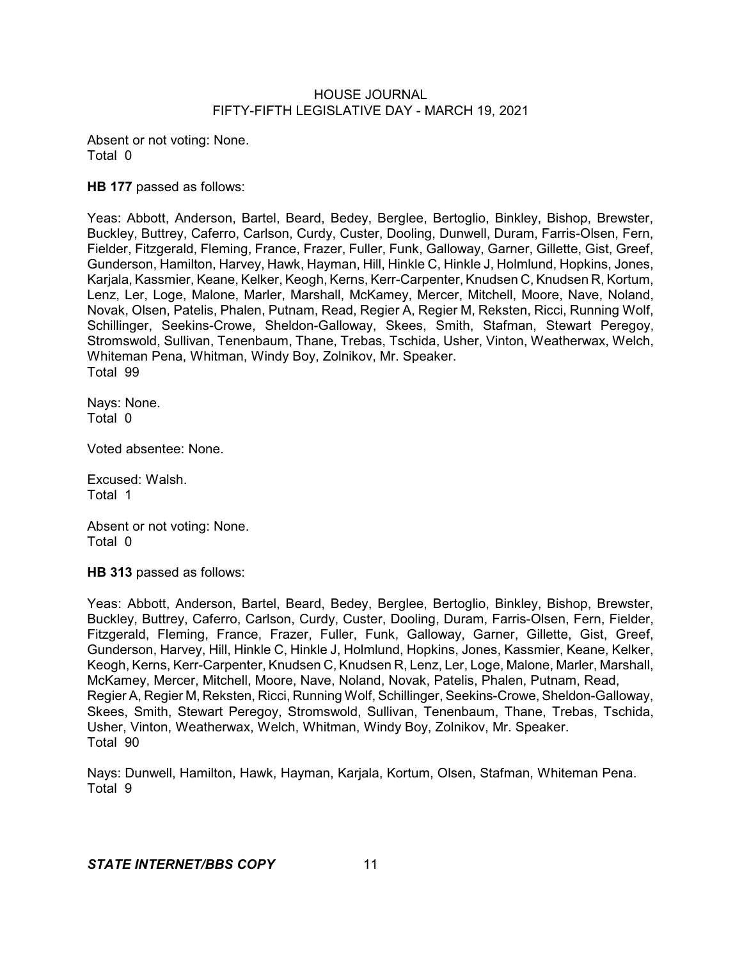Absent or not voting: None. Total 0

**HB 177** passed as follows:

Yeas: Abbott, Anderson, Bartel, Beard, Bedey, Berglee, Bertoglio, Binkley, Bishop, Brewster, Buckley, Buttrey, Caferro, Carlson, Curdy, Custer, Dooling, Dunwell, Duram, Farris-Olsen, Fern, Fielder, Fitzgerald, Fleming, France, Frazer, Fuller, Funk, Galloway, Garner, Gillette, Gist, Greef, Gunderson, Hamilton, Harvey, Hawk, Hayman, Hill, Hinkle C, Hinkle J, Holmlund, Hopkins, Jones, Karjala, Kassmier, Keane, Kelker, Keogh, Kerns, Kerr-Carpenter, Knudsen C, Knudsen R, Kortum, Lenz, Ler, Loge, Malone, Marler, Marshall, McKamey, Mercer, Mitchell, Moore, Nave, Noland, Novak, Olsen, Patelis, Phalen, Putnam, Read, Regier A, Regier M, Reksten, Ricci, Running Wolf, Schillinger, Seekins-Crowe, Sheldon-Galloway, Skees, Smith, Stafman, Stewart Peregoy, Stromswold, Sullivan, Tenenbaum, Thane, Trebas, Tschida, Usher, Vinton, Weatherwax, Welch, Whiteman Pena, Whitman, Windy Boy, Zolnikov, Mr. Speaker. Total 99

Nays: None. Total 0

Voted absentee: None.

Excused: Walsh. Total 1

Absent or not voting: None. Total 0

**HB 313** passed as follows:

Yeas: Abbott, Anderson, Bartel, Beard, Bedey, Berglee, Bertoglio, Binkley, Bishop, Brewster, Buckley, Buttrey, Caferro, Carlson, Curdy, Custer, Dooling, Duram, Farris-Olsen, Fern, Fielder, Fitzgerald, Fleming, France, Frazer, Fuller, Funk, Galloway, Garner, Gillette, Gist, Greef, Gunderson, Harvey, Hill, Hinkle C, Hinkle J, Holmlund, Hopkins, Jones, Kassmier, Keane, Kelker, Keogh, Kerns, Kerr-Carpenter, Knudsen C, Knudsen R, Lenz, Ler, Loge, Malone, Marler, Marshall, McKamey, Mercer, Mitchell, Moore, Nave, Noland, Novak, Patelis, Phalen, Putnam, Read, Regier A, Regier M, Reksten, Ricci, Running Wolf, Schillinger, Seekins-Crowe, Sheldon-Galloway, Skees, Smith, Stewart Peregoy, Stromswold, Sullivan, Tenenbaum, Thane, Trebas, Tschida, Usher, Vinton, Weatherwax, Welch, Whitman, Windy Boy, Zolnikov, Mr. Speaker. Total 90

Nays: Dunwell, Hamilton, Hawk, Hayman, Karjala, Kortum, Olsen, Stafman, Whiteman Pena. Total 9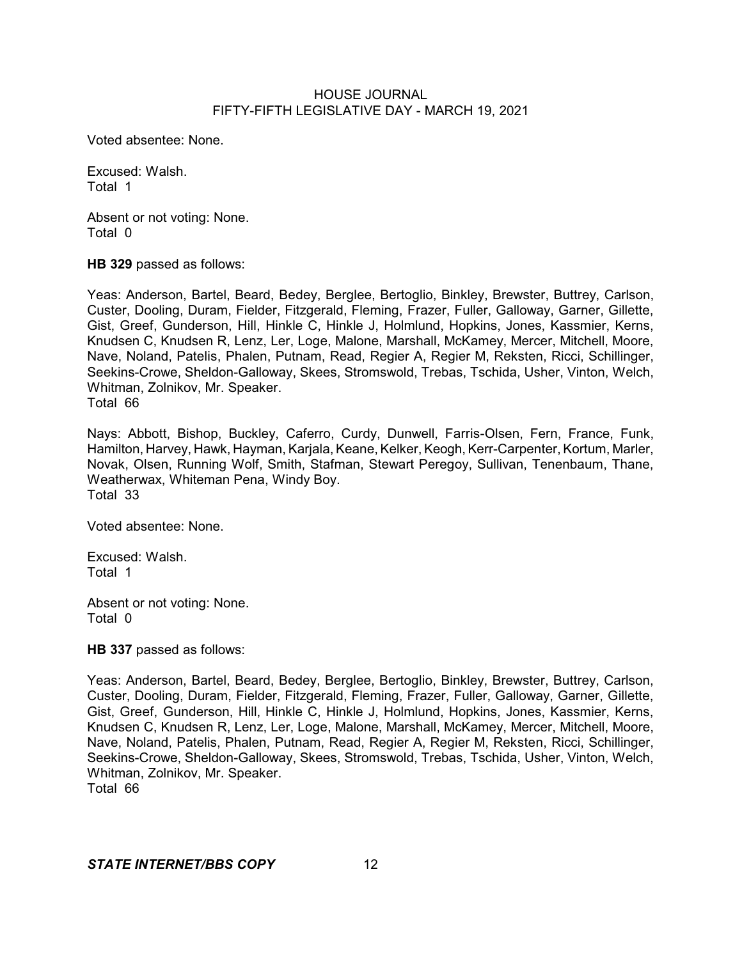Voted absentee: None.

Excused: Walsh. Total 1

Absent or not voting: None. Total 0

**HB 329** passed as follows:

Yeas: Anderson, Bartel, Beard, Bedey, Berglee, Bertoglio, Binkley, Brewster, Buttrey, Carlson, Custer, Dooling, Duram, Fielder, Fitzgerald, Fleming, Frazer, Fuller, Galloway, Garner, Gillette, Gist, Greef, Gunderson, Hill, Hinkle C, Hinkle J, Holmlund, Hopkins, Jones, Kassmier, Kerns, Knudsen C, Knudsen R, Lenz, Ler, Loge, Malone, Marshall, McKamey, Mercer, Mitchell, Moore, Nave, Noland, Patelis, Phalen, Putnam, Read, Regier A, Regier M, Reksten, Ricci, Schillinger, Seekins-Crowe, Sheldon-Galloway, Skees, Stromswold, Trebas, Tschida, Usher, Vinton, Welch, Whitman, Zolnikov, Mr. Speaker. Total 66

Nays: Abbott, Bishop, Buckley, Caferro, Curdy, Dunwell, Farris-Olsen, Fern, France, Funk, Hamilton, Harvey, Hawk, Hayman, Karjala, Keane, Kelker, Keogh, Kerr-Carpenter, Kortum, Marler, Novak, Olsen, Running Wolf, Smith, Stafman, Stewart Peregoy, Sullivan, Tenenbaum, Thane, Weatherwax, Whiteman Pena, Windy Boy. Total 33

Voted absentee: None.

Excused: Walsh. Total 1

Absent or not voting: None. Total 0

**HB 337** passed as follows:

Yeas: Anderson, Bartel, Beard, Bedey, Berglee, Bertoglio, Binkley, Brewster, Buttrey, Carlson, Custer, Dooling, Duram, Fielder, Fitzgerald, Fleming, Frazer, Fuller, Galloway, Garner, Gillette, Gist, Greef, Gunderson, Hill, Hinkle C, Hinkle J, Holmlund, Hopkins, Jones, Kassmier, Kerns, Knudsen C, Knudsen R, Lenz, Ler, Loge, Malone, Marshall, McKamey, Mercer, Mitchell, Moore, Nave, Noland, Patelis, Phalen, Putnam, Read, Regier A, Regier M, Reksten, Ricci, Schillinger, Seekins-Crowe, Sheldon-Galloway, Skees, Stromswold, Trebas, Tschida, Usher, Vinton, Welch, Whitman, Zolnikov, Mr. Speaker.

Total 66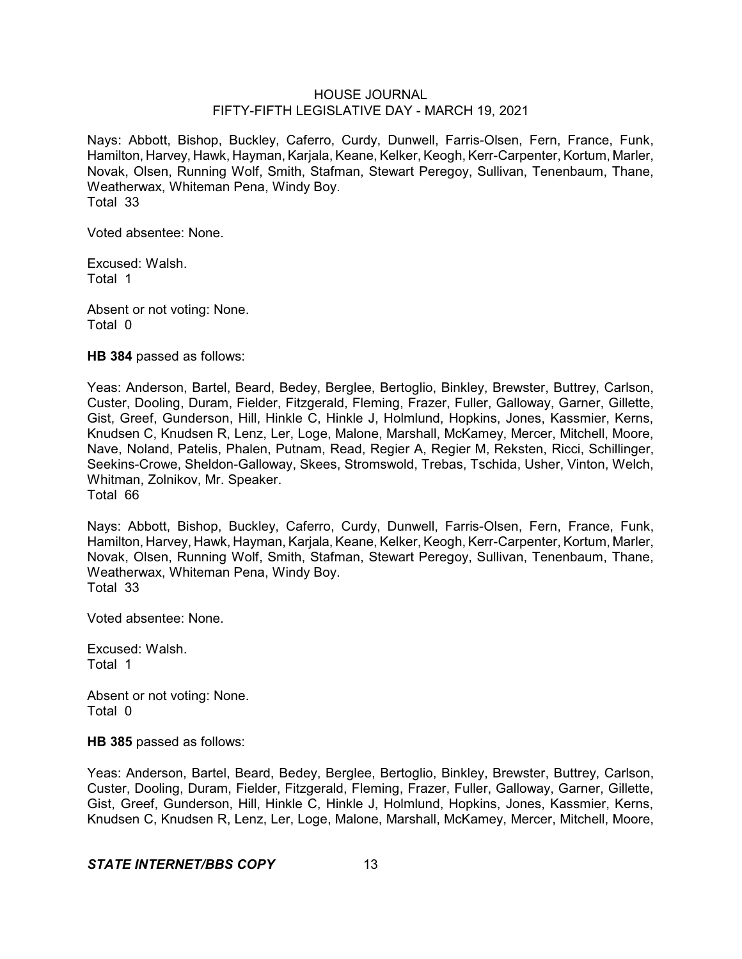Nays: Abbott, Bishop, Buckley, Caferro, Curdy, Dunwell, Farris-Olsen, Fern, France, Funk, Hamilton, Harvey, Hawk, Hayman, Karjala, Keane, Kelker, Keogh, Kerr-Carpenter, Kortum, Marler, Novak, Olsen, Running Wolf, Smith, Stafman, Stewart Peregoy, Sullivan, Tenenbaum, Thane, Weatherwax, Whiteman Pena, Windy Boy. Total 33

Voted absentee: None.

Excused: Walsh. Total 1

Absent or not voting: None. Total 0

**HB 384** passed as follows:

Yeas: Anderson, Bartel, Beard, Bedey, Berglee, Bertoglio, Binkley, Brewster, Buttrey, Carlson, Custer, Dooling, Duram, Fielder, Fitzgerald, Fleming, Frazer, Fuller, Galloway, Garner, Gillette, Gist, Greef, Gunderson, Hill, Hinkle C, Hinkle J, Holmlund, Hopkins, Jones, Kassmier, Kerns, Knudsen C, Knudsen R, Lenz, Ler, Loge, Malone, Marshall, McKamey, Mercer, Mitchell, Moore, Nave, Noland, Patelis, Phalen, Putnam, Read, Regier A, Regier M, Reksten, Ricci, Schillinger, Seekins-Crowe, Sheldon-Galloway, Skees, Stromswold, Trebas, Tschida, Usher, Vinton, Welch, Whitman, Zolnikov, Mr. Speaker. Total 66

Nays: Abbott, Bishop, Buckley, Caferro, Curdy, Dunwell, Farris-Olsen, Fern, France, Funk, Hamilton, Harvey, Hawk, Hayman, Karjala, Keane, Kelker, Keogh, Kerr-Carpenter, Kortum, Marler, Novak, Olsen, Running Wolf, Smith, Stafman, Stewart Peregoy, Sullivan, Tenenbaum, Thane, Weatherwax, Whiteman Pena, Windy Boy. Total 33

Voted absentee: None.

Excused: Walsh. Total 1

Absent or not voting: None. Total 0

**HB 385** passed as follows:

Yeas: Anderson, Bartel, Beard, Bedey, Berglee, Bertoglio, Binkley, Brewster, Buttrey, Carlson, Custer, Dooling, Duram, Fielder, Fitzgerald, Fleming, Frazer, Fuller, Galloway, Garner, Gillette, Gist, Greef, Gunderson, Hill, Hinkle C, Hinkle J, Holmlund, Hopkins, Jones, Kassmier, Kerns, Knudsen C, Knudsen R, Lenz, Ler, Loge, Malone, Marshall, McKamey, Mercer, Mitchell, Moore,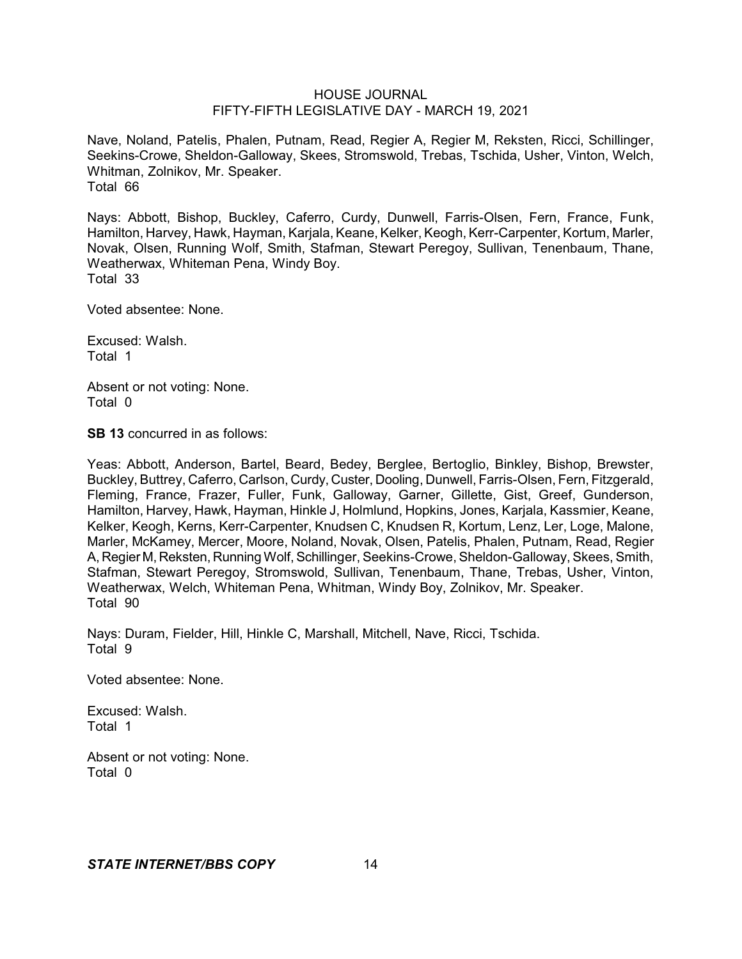Nave, Noland, Patelis, Phalen, Putnam, Read, Regier A, Regier M, Reksten, Ricci, Schillinger, Seekins-Crowe, Sheldon-Galloway, Skees, Stromswold, Trebas, Tschida, Usher, Vinton, Welch, Whitman, Zolnikov, Mr. Speaker. Total 66

Nays: Abbott, Bishop, Buckley, Caferro, Curdy, Dunwell, Farris-Olsen, Fern, France, Funk, Hamilton, Harvey, Hawk, Hayman, Karjala, Keane, Kelker, Keogh, Kerr-Carpenter, Kortum, Marler, Novak, Olsen, Running Wolf, Smith, Stafman, Stewart Peregoy, Sullivan, Tenenbaum, Thane, Weatherwax, Whiteman Pena, Windy Boy. Total 33

Voted absentee: None.

Excused: Walsh. Total 1

Absent or not voting: None. Total 0

**SB 13** concurred in as follows:

Yeas: Abbott, Anderson, Bartel, Beard, Bedey, Berglee, Bertoglio, Binkley, Bishop, Brewster, Buckley, Buttrey, Caferro, Carlson, Curdy, Custer, Dooling, Dunwell, Farris-Olsen, Fern, Fitzgerald, Fleming, France, Frazer, Fuller, Funk, Galloway, Garner, Gillette, Gist, Greef, Gunderson, Hamilton, Harvey, Hawk, Hayman, Hinkle J, Holmlund, Hopkins, Jones, Karjala, Kassmier, Keane, Kelker, Keogh, Kerns, Kerr-Carpenter, Knudsen C, Knudsen R, Kortum, Lenz, Ler, Loge, Malone, Marler, McKamey, Mercer, Moore, Noland, Novak, Olsen, Patelis, Phalen, Putnam, Read, Regier A, Regier M, Reksten, Running Wolf, Schillinger, Seekins-Crowe, Sheldon-Galloway, Skees, Smith, Stafman, Stewart Peregoy, Stromswold, Sullivan, Tenenbaum, Thane, Trebas, Usher, Vinton, Weatherwax, Welch, Whiteman Pena, Whitman, Windy Boy, Zolnikov, Mr. Speaker. Total 90

Nays: Duram, Fielder, Hill, Hinkle C, Marshall, Mitchell, Nave, Ricci, Tschida. Total 9

Voted absentee: None.

Excused: Walsh. Total 1

Absent or not voting: None. Total 0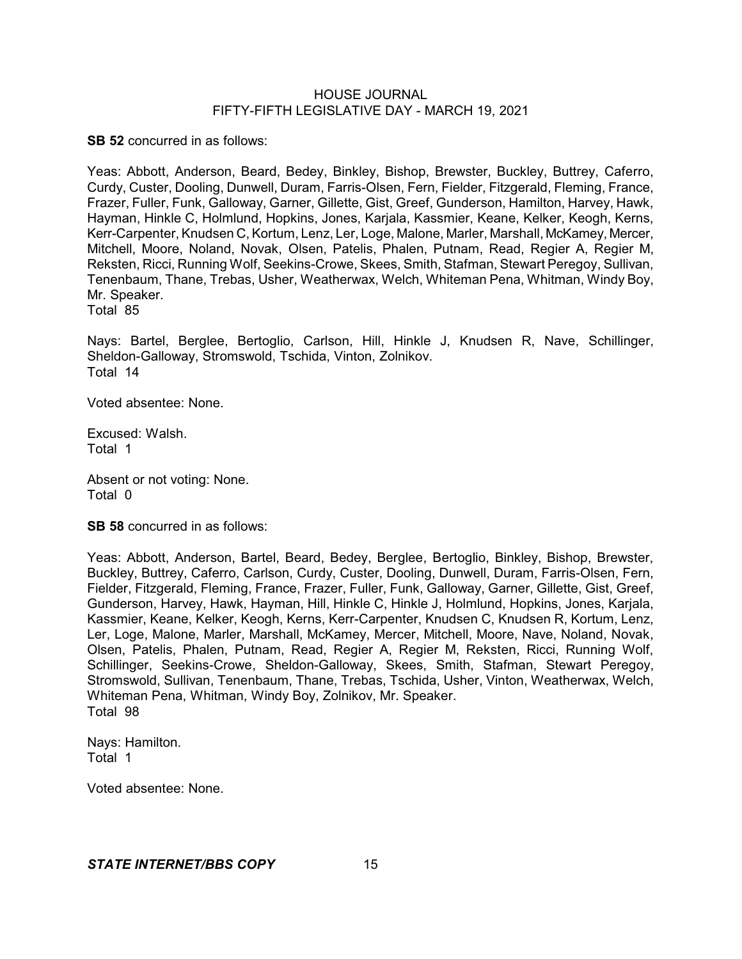**SB 52** concurred in as follows:

Yeas: Abbott, Anderson, Beard, Bedey, Binkley, Bishop, Brewster, Buckley, Buttrey, Caferro, Curdy, Custer, Dooling, Dunwell, Duram, Farris-Olsen, Fern, Fielder, Fitzgerald, Fleming, France, Frazer, Fuller, Funk, Galloway, Garner, Gillette, Gist, Greef, Gunderson, Hamilton, Harvey, Hawk, Hayman, Hinkle C, Holmlund, Hopkins, Jones, Karjala, Kassmier, Keane, Kelker, Keogh, Kerns, Kerr-Carpenter, Knudsen C, Kortum, Lenz, Ler, Loge, Malone, Marler, Marshall, McKamey, Mercer, Mitchell, Moore, Noland, Novak, Olsen, Patelis, Phalen, Putnam, Read, Regier A, Regier M, Reksten, Ricci, Running Wolf, Seekins-Crowe, Skees, Smith, Stafman, Stewart Peregoy, Sullivan, Tenenbaum, Thane, Trebas, Usher, Weatherwax, Welch, Whiteman Pena, Whitman, Windy Boy, Mr. Speaker. Total 85

Nays: Bartel, Berglee, Bertoglio, Carlson, Hill, Hinkle J, Knudsen R, Nave, Schillinger, Sheldon-Galloway, Stromswold, Tschida, Vinton, Zolnikov. Total 14

Voted absentee: None.

Excused: Walsh. Total 1

Absent or not voting: None. Total 0

**SB 58** concurred in as follows:

Yeas: Abbott, Anderson, Bartel, Beard, Bedey, Berglee, Bertoglio, Binkley, Bishop, Brewster, Buckley, Buttrey, Caferro, Carlson, Curdy, Custer, Dooling, Dunwell, Duram, Farris-Olsen, Fern, Fielder, Fitzgerald, Fleming, France, Frazer, Fuller, Funk, Galloway, Garner, Gillette, Gist, Greef, Gunderson, Harvey, Hawk, Hayman, Hill, Hinkle C, Hinkle J, Holmlund, Hopkins, Jones, Karjala, Kassmier, Keane, Kelker, Keogh, Kerns, Kerr-Carpenter, Knudsen C, Knudsen R, Kortum, Lenz, Ler, Loge, Malone, Marler, Marshall, McKamey, Mercer, Mitchell, Moore, Nave, Noland, Novak, Olsen, Patelis, Phalen, Putnam, Read, Regier A, Regier M, Reksten, Ricci, Running Wolf, Schillinger, Seekins-Crowe, Sheldon-Galloway, Skees, Smith, Stafman, Stewart Peregoy, Stromswold, Sullivan, Tenenbaum, Thane, Trebas, Tschida, Usher, Vinton, Weatherwax, Welch, Whiteman Pena, Whitman, Windy Boy, Zolnikov, Mr. Speaker. Total 98

Nays: Hamilton. Total 1

Voted absentee: None.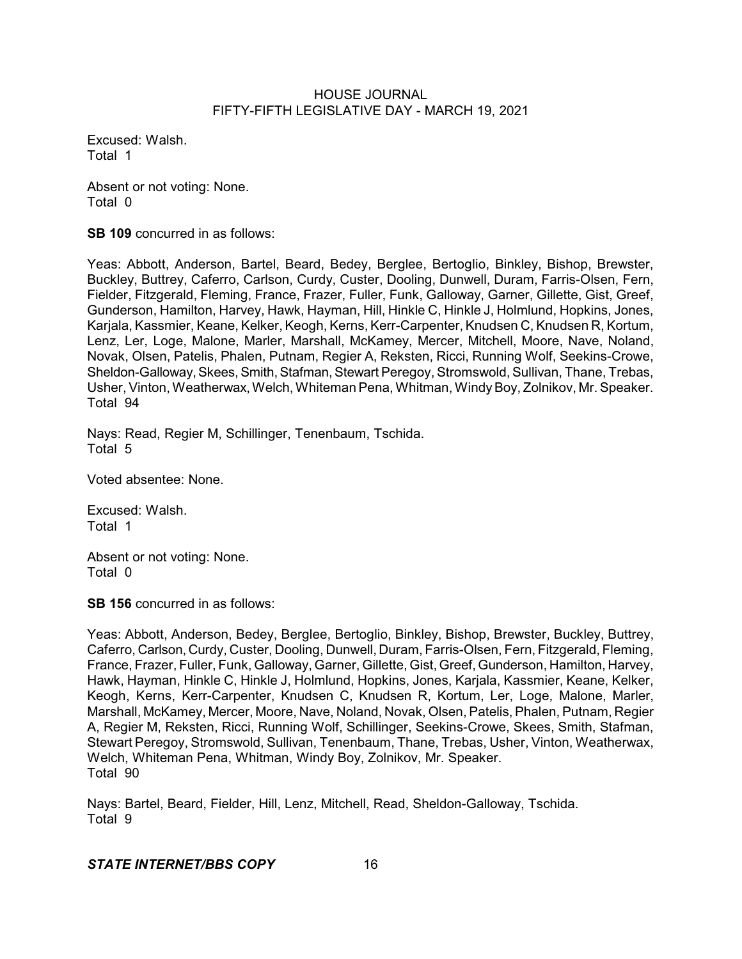Excused: Walsh. Total 1

Absent or not voting: None. Total 0

**SB 109** concurred in as follows:

Yeas: Abbott, Anderson, Bartel, Beard, Bedey, Berglee, Bertoglio, Binkley, Bishop, Brewster, Buckley, Buttrey, Caferro, Carlson, Curdy, Custer, Dooling, Dunwell, Duram, Farris-Olsen, Fern, Fielder, Fitzgerald, Fleming, France, Frazer, Fuller, Funk, Galloway, Garner, Gillette, Gist, Greef, Gunderson, Hamilton, Harvey, Hawk, Hayman, Hill, Hinkle C, Hinkle J, Holmlund, Hopkins, Jones, Karjala, Kassmier, Keane, Kelker, Keogh, Kerns, Kerr-Carpenter, Knudsen C, Knudsen R, Kortum, Lenz, Ler, Loge, Malone, Marler, Marshall, McKamey, Mercer, Mitchell, Moore, Nave, Noland, Novak, Olsen, Patelis, Phalen, Putnam, Regier A, Reksten, Ricci, Running Wolf, Seekins-Crowe, Sheldon-Galloway, Skees, Smith, Stafman, Stewart Peregoy, Stromswold, Sullivan, Thane, Trebas, Usher, Vinton, Weatherwax, Welch, Whiteman Pena, Whitman, Windy Boy, Zolnikov, Mr. Speaker. Total 94

Nays: Read, Regier M, Schillinger, Tenenbaum, Tschida. Total 5

Voted absentee: None.

Excused: Walsh. Total 1

Absent or not voting: None. Total 0

**SB 156** concurred in as follows:

Yeas: Abbott, Anderson, Bedey, Berglee, Bertoglio, Binkley, Bishop, Brewster, Buckley, Buttrey, Caferro, Carlson, Curdy, Custer, Dooling, Dunwell, Duram, Farris-Olsen, Fern, Fitzgerald, Fleming, France, Frazer, Fuller, Funk, Galloway, Garner, Gillette, Gist, Greef, Gunderson, Hamilton, Harvey, Hawk, Hayman, Hinkle C, Hinkle J, Holmlund, Hopkins, Jones, Karjala, Kassmier, Keane, Kelker, Keogh, Kerns, Kerr-Carpenter, Knudsen C, Knudsen R, Kortum, Ler, Loge, Malone, Marler, Marshall, McKamey, Mercer, Moore, Nave, Noland, Novak, Olsen, Patelis,Phalen, Putnam, Regier A, Regier M, Reksten, Ricci, Running Wolf, Schillinger, Seekins-Crowe, Skees, Smith, Stafman, Stewart Peregoy, Stromswold, Sullivan, Tenenbaum, Thane, Trebas, Usher, Vinton, Weatherwax, Welch, Whiteman Pena, Whitman, Windy Boy, Zolnikov, Mr. Speaker. Total 90

Nays: Bartel, Beard, Fielder, Hill, Lenz, Mitchell, Read, Sheldon-Galloway, Tschida. Total 9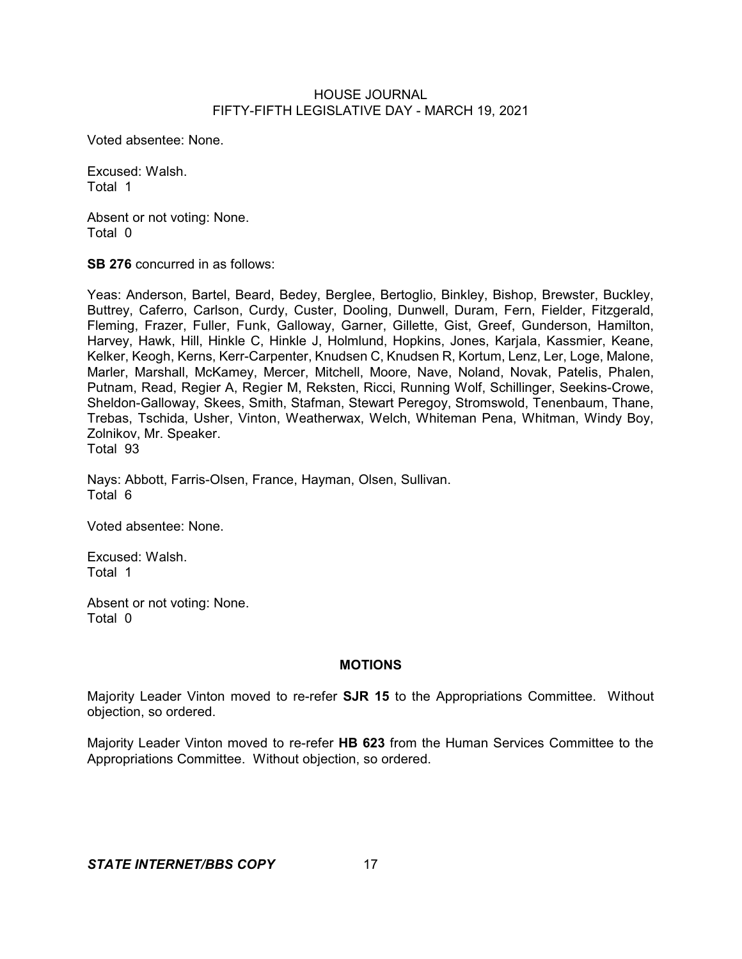Voted absentee: None.

Excused: Walsh. Total 1

Absent or not voting: None. Total 0

**SB 276** concurred in as follows:

Yeas: Anderson, Bartel, Beard, Bedey, Berglee, Bertoglio, Binkley, Bishop, Brewster, Buckley, Buttrey, Caferro, Carlson, Curdy, Custer, Dooling, Dunwell, Duram, Fern, Fielder, Fitzgerald, Fleming, Frazer, Fuller, Funk, Galloway, Garner, Gillette, Gist, Greef, Gunderson, Hamilton, Harvey, Hawk, Hill, Hinkle C, Hinkle J, Holmlund, Hopkins, Jones, Karjala, Kassmier, Keane, Kelker, Keogh, Kerns, Kerr-Carpenter, Knudsen C, Knudsen R, Kortum, Lenz, Ler, Loge, Malone, Marler, Marshall, McKamey, Mercer, Mitchell, Moore, Nave, Noland, Novak, Patelis, Phalen, Putnam, Read, Regier A, Regier M, Reksten, Ricci, Running Wolf, Schillinger, Seekins-Crowe, Sheldon-Galloway, Skees, Smith, Stafman, Stewart Peregoy, Stromswold, Tenenbaum, Thane, Trebas, Tschida, Usher, Vinton, Weatherwax, Welch, Whiteman Pena, Whitman, Windy Boy, Zolnikov, Mr. Speaker.

Total 93

Nays: Abbott, Farris-Olsen, France, Hayman, Olsen, Sullivan. Total 6

Voted absentee: None.

Excused: Walsh. Total 1

Absent or not voting: None. Total 0

# **MOTIONS**

Majority Leader Vinton moved to re-refer **SJR 15** to the Appropriations Committee. Without objection, so ordered.

Majority Leader Vinton moved to re-refer **HB 623** from the Human Services Committee to the Appropriations Committee. Without objection, so ordered.